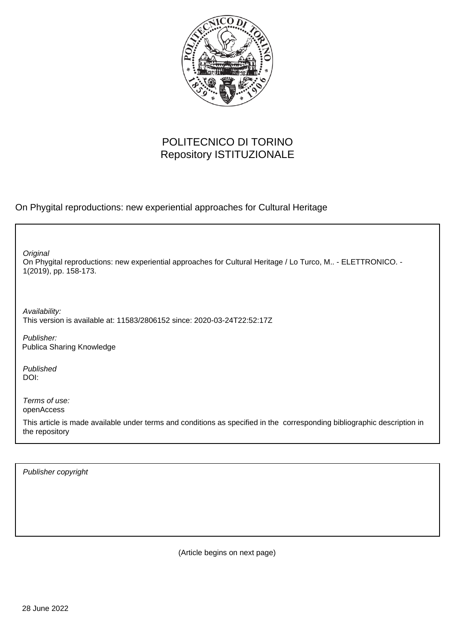

# POLITECNICO DI TORINO Repository ISTITUZIONALE

On Phygital reproductions: new experiential approaches for Cultural Heritage

On Phygital reproductions: new experiential approaches for Cultural Heritage / Lo Turco, M.. - ELETTRONICO. - 1(2019), pp. 158-173. **Original** 

Availability: This version is available at: 11583/2806152 since: 2020-03-24T22:52:17Z

Publisher: Publica Sharing Knowledge

Published DOI:

Terms of use: openAccess

This article is made available under terms and conditions as specified in the corresponding bibliographic description in the repository

Publisher copyright

(Article begins on next page)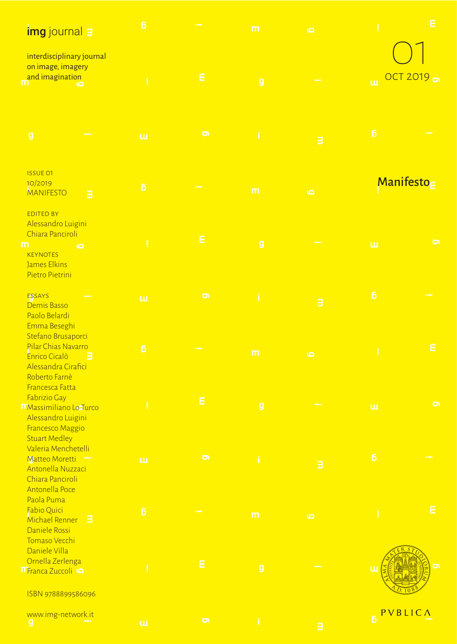| <b>img</b> journal <b>B</b>                                                                                                          | $6\overline{6}$ | $\frac{1}{2}$ | m            | $\bullet$         | Ţ               | ε                     |
|--------------------------------------------------------------------------------------------------------------------------------------|-----------------|---------------|--------------|-------------------|-----------------|-----------------------|
| interdisciplinary journal<br>on image, imagery<br>and imagination<br>$\bullet$                                                       | Ţ               | ε             | $\mathbf{g}$ |                   | $\mathbf{u}$    | OCT 2019 <sub>o</sub> |
| $\mathbf{g}$                                                                                                                         | <b>u</b>        | $\bullet$     | Ĭ            | в                 | $6\overline{6}$ |                       |
| <b>ISSUE 01</b><br>10/2019<br><b>MANIFESTO</b><br>в                                                                                  | $6\overline{6}$ |               | m            | $\bullet$         |                 | <b>Manifesto</b>      |
| <b>EDITED BY</b><br>Alessandro Luigini<br>Chiara Panciroli<br>m<br>$\bullet$<br><b>KEYNOTES</b><br>James Elkins                      | Ţ               | ε             | $\mathbf{g}$ | $\longrightarrow$ | $\mathbf{u}$    | $\bullet$             |
| Pietro Pietrini<br><b>ESSAYS</b><br>Demis Basso<br>Paolo Belardi<br>Emma Beseghi                                                     | $\mathbf{u}$    | $\bullet$     | ï            | $\exists$         | $6\overline{6}$ |                       |
| Stefano Brusaporci<br>Pilar Chias Navarro<br>Enrico Cicalò<br>в<br>Alessandra Cirafici<br>Roberto Farnè                              | $6\overline{6}$ |               | m            | $\bullet$         | Ţ               | ε                     |
| Francesca Fatta<br><b>Fabrizio Gay</b><br>Massimiliano Lo Turco<br>Alessandro Luigini<br><b>Francesco Maggio</b>                     | Ţ               | Ε             | $\mathbf{g}$ |                   | $\mathbf{u}$    | $\sum_{i=1}^{n}$      |
| <b>Stuart Medley</b><br>Valeria Menchetelli<br><b>Matteo Moretti</b><br>÷<br>Antonella Nuzzaci<br>Chiara Panciroli<br>Antonella Poce | <b>u</b>        | $\bullet$     | ĩ            | в                 | $6\overline{6}$ |                       |
| Paola Puma<br><b>Fabio Quici</b><br>Michael Renner<br>в<br>Daniele Rossi<br>Tomaso Vecchi                                            | $6\overline{6}$ |               | m            | $\bullet$         | Ţ               | ε                     |
| Daniele Villa<br>Ornella Zerlenga<br><b>TFranca Zuccoli</b> O                                                                        | ţ               | Ε             | $\mathbf{g}$ |                   | $\overline{u}$  | ರಾ                    |
| ISBN 9788899586096<br>www.img-network.it<br>g                                                                                        | $\mathbf{u}$    | $\bullet$     | ĩ            |                   | $\mathbf{6}$    | PVBLICA               |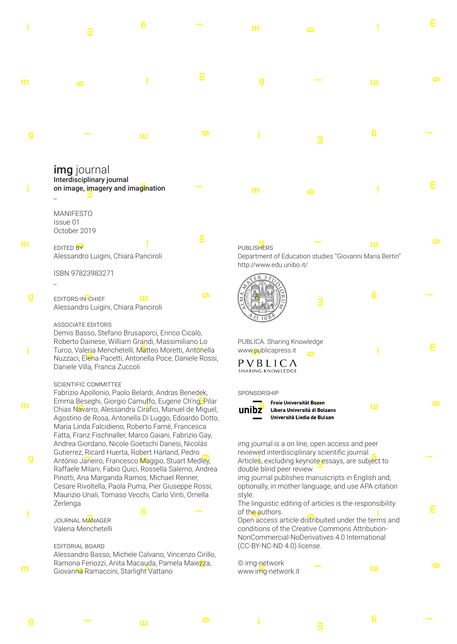

**u**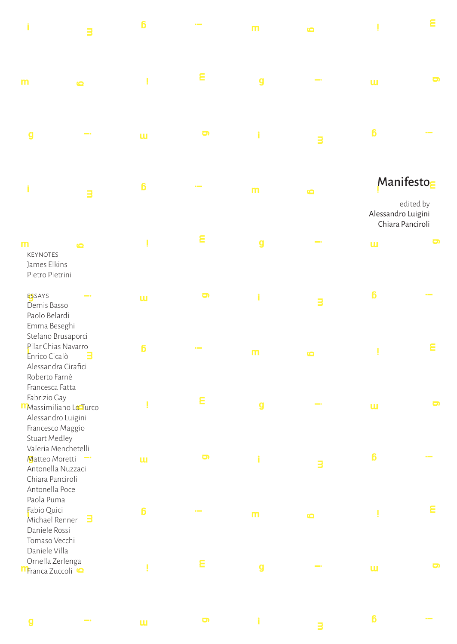| i                                                                             | З                                                      | 6               |                          | m                | $\bullet$ | ţ                  | Ε                                           |
|-------------------------------------------------------------------------------|--------------------------------------------------------|-----------------|--------------------------|------------------|-----------|--------------------|---------------------------------------------|
| m                                                                             | $\bullet$                                              | Į               | ε                        | $\boldsymbol{g}$ |           | $\mathbf u$        | $\bullet$                                   |
| $\boldsymbol{g}$                                                              |                                                        | w               | G                        | Î                | В         | $6\overline{6}$    |                                             |
|                                                                               | З                                                      | $6\overline{6}$ |                          | m                | $\bullet$ | Alessandro Luigini | Manifestoe<br>edited by<br>Chiara Panciroli |
| $\mathbf{m}$<br>KEYNOTES<br>James Elkins<br>Pietro Pietrini                   | $\overline{a}$                                         | ţ               | ε                        | $\boldsymbol{g}$ |           | <b>u</b>           | G                                           |
| ESSAYS<br>Demis Basso<br>Paolo Belardi<br>Emma Beseghi                        |                                                        | <b>u</b>        | $\bullet$                | î                | з         | $6\overline{6}$    |                                             |
| Enrico Cicalò<br>Alessandra Cirafici<br>Roberto Farnè                         | Stefano Brusaporci<br>Pilar Chias Navarro              | 6               |                          | m                | $\bullet$ | ţ                  | ε                                           |
| Francesca Fatta<br>Fabrizio Gay<br>Francesco Maggio<br>Stuart Medley          | <b>MAAN</b> assimiliano Lo Turco<br>Alessandro Luigini |                 | ε                        | $\boldsymbol{g}$ |           | $\mathbf u$        |                                             |
| Matteo Moretti<br>Antonella Nuzzaci<br>Chiara Panciroli<br>Antonella Poce     | Valeria Menchetelli<br>$\overline{\phantom{a}}$        | ш               | G                        | î                | В         | $6\overline{6}$    |                                             |
| Paola Puma<br>Fabio Quici<br>Michael Renner<br>Daniele Rossi<br>Tomaso Vecchi | Б                                                      | $6\phantom{1}$  | $\overline{\phantom{a}}$ | m                | $\bullet$ | ţ                  | ε                                           |
| Daniele Villa<br>Ornella Zerlenga<br><b>D</b> Franca Zuccoli                  |                                                        | Ţ               | Ε                        | $\boldsymbol{g}$ |           | $\mathbf{u}$       | G                                           |

 $\overline{\mathbf{6}}$ **Example 19** (and the state of the state of the state of the state of the state of the state of the state of the state of the state of the state of the state of the state of the state of the state of the state of the state  $\mathbf{B}^{\text{max}}$  $\mathbf{g}$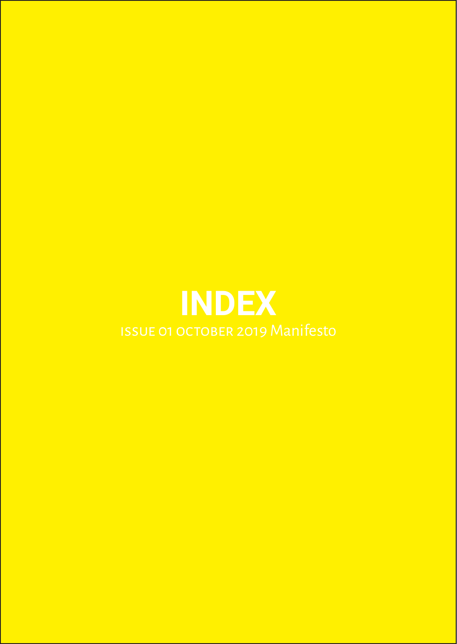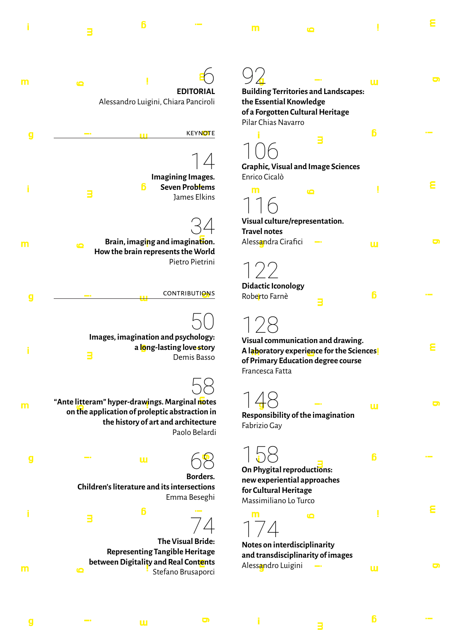|              |                                                                                                                                                          | m<br>$\bullet$                                                                                                                          |  |
|--------------|----------------------------------------------------------------------------------------------------------------------------------------------------------|-----------------------------------------------------------------------------------------------------------------------------------------|--|
| m            | $\bullet$<br><b>EDITORIAL</b><br>Alessandro Luigini, Chiara Panciroli                                                                                    | ш<br><b>Building Territories and Landscapes:</b><br>the Essential Knowledge<br>of a Forgotten Cultural Heritage<br>Pilar Chias Navarro  |  |
| g            | <b>KEYNOTE</b>                                                                                                                                           | 6<br>Ξ                                                                                                                                  |  |
|              | $\perp$<br>Imagining Images.<br>Seven Problems<br>6<br>James Elkins                                                                                      | <b>Graphic, Visual and Image Sciences</b><br>Enrico Cicalò<br>m<br>$\bullet$<br>Visual culture/representation.                          |  |
| m            | 34,<br>Brain, imaging and imagination.<br>$\bullet$<br>How the brain represents the World<br>Pietro Pietrini                                             | <b>Travel notes</b><br>Alessandra Cirafici<br>w<br>122                                                                                  |  |
| g            | <b>CONTRIBUTIONS</b>                                                                                                                                     | <b>Didactic Iconology</b><br>6<br>Roberto Farnè                                                                                         |  |
|              | Images, imagination and psychology:<br>a long-lasting love story<br>Demis Basso                                                                          | Visual communication and drawing.<br>A laboratory experience for the Sciences!<br>of Primary Education degree course<br>Francesca Fatta |  |
| $\mathsf{m}$ | "Ante litteram" hyper-drawings. Marginal notes<br>on the application of proleptic abstraction in<br>the history of art and architecture<br>Paolo Belardi | ш<br>Responsibility of the imagination<br>Fabrizio Gay                                                                                  |  |
| g            | ш<br>Borders.<br>Children's literature and its intersections                                                                                             | 6<br>On Phygital reproductions:<br>new experiential approaches<br>for Cultural Heritage                                                 |  |
|              | Emma Beseghi<br>6<br><b>The Visual Bride:</b>                                                                                                            | Massimiliano Lo Turco<br>m<br>$\bullet$<br>Notes on interdisciplinarity                                                                 |  |
| $\mathsf{m}$ | <b>Representing Tangible Heritage</b><br>between Digitality and Real Contents<br>$\bullet$<br>Stefano Brusaporci                                         | and transdisciplinarity of images<br>Alessandro Luigini<br>w                                                                            |  |

 $\epsilon$ 

 $\bullet$ 

E

 $\bullet$ 

E

 $\bullet$ 

 $\pmb{\epsilon}$ 

 $\bullet$ 

 $\bf{6}$ 

 $\overline{a}$ 

 $\mathbf i$ 

 $\overline{g}$ 

 $\dot{\mathbf{u}}$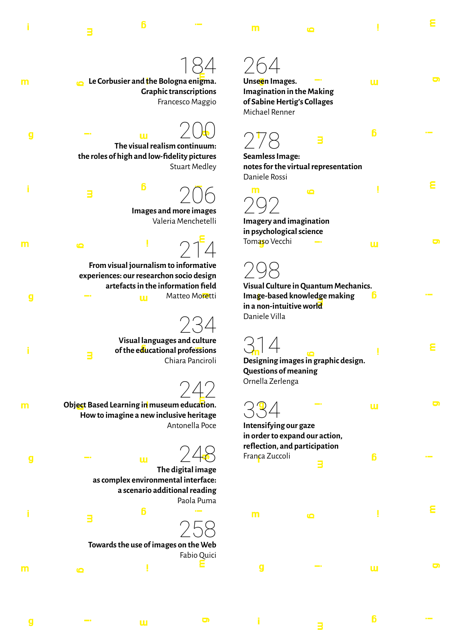|                  | 6<br>3                                                                                                                                                | $\mathsf{m}$<br>$\bullet$                                                                                         |                 |   |
|------------------|-------------------------------------------------------------------------------------------------------------------------------------------------------|-------------------------------------------------------------------------------------------------------------------|-----------------|---|
| m                | 184<br>Le Corbusier and the Bologna enigma.<br><b>Graphic transcriptions</b><br>Francesco Maggio                                                      | 264<br>Unseen Images.<br><b>Imagination in the Making</b><br>of Sabine Hertig's Collages<br>Michael Renner        | ш               |   |
| $\boldsymbol{g}$ | ш<br>The visual realism continuum:<br>the roles of high and low-fidelity pictures<br><b>Stuart Medley</b>                                             | Seamless Image:<br>notes for the virtual representation<br>Daniele Rossi                                          | $6\overline{6}$ |   |
|                  | 6<br>3<br>Images and more images<br>Valeria Menchetelli                                                                                               | m<br>$\bullet$<br>Imagery and imagination<br>in psychological science                                             |                 | ε |
| m                | $21^5$<br>Q                                                                                                                                           | Tomaso Vecchi                                                                                                     | w               |   |
| $\boldsymbol{g}$ | From visual journalism to informative<br>experiences: our researchon socio design<br>artefacts in the information field<br>Matteo Moretti<br>ш<br>234 | Visual Culture in Quantum Mechanics.<br>Image-based knowledge making<br>in a non-intuitive world<br>Daniele Villa | б               |   |
|                  | Visual languages and culture<br>of the educational professions<br>3<br>Chiara Panciroli                                                               | 314<br>Designing images in graphic design.<br>Questions of meaning<br>Ornella Zerlenga                            |                 | ε |
| m                | Object Based Learning in museum education.<br>How to imagine a new inclusive heritage<br>Antonella Poce                                               | Intensifying our gaze<br>in order to expand our action,                                                           | $\mathbf{u}$    |   |
| g                | $\mathbf{u}$<br>The digital image<br>as complex environmental interface:<br>a scenario additional reading                                             | reflection, and participation<br>Franca Zuccoli<br>Ξ                                                              | $6\overline{6}$ |   |
| İ                | Paola Puma<br>6<br>з                                                                                                                                  | $\mathbf{m}$<br>$\bullet$                                                                                         |                 | ε |
|                  | Towards the use of images on the Web<br>Fabio Quici                                                                                                   |                                                                                                                   |                 |   |
| m                | $\bullet$                                                                                                                                             | g                                                                                                                 | w               |   |
|                  |                                                                                                                                                       |                                                                                                                   |                 |   |

 $\overline{g}$  and  $\overline{g}$ 

ー 山 <sup>つ</sup> i ョ <sup>6</sup>

| 264                                                                                                                             |           |   |   |
|---------------------------------------------------------------------------------------------------------------------------------|-----------|---|---|
| Unse <mark>e</mark> n Images.<br><b>Imagination in the Making</b><br>of Sabine Hertig's Collages<br>Michael Renner              |           | ш | o |
| 278                                                                                                                             | 3         | 6 |   |
| Seamless Image:<br>notes for the virtual representation<br>Daniele Rossi                                                        |           |   |   |
| m<br>292                                                                                                                        | $\bullet$ | Ţ | ε |
| Imagery and imagination<br>in psychological science                                                                             |           |   |   |
| Tom <mark>as</mark> o Vecchi                                                                                                    |           | ш | D |
| 298                                                                                                                             |           |   |   |
| Visual Culture in Quantum Mechanics.<br>Image-based knowledge making<br>in a non-intuitive worl <mark>d</mark><br>Daniele Villa |           | b |   |
| 314<br>Designing images in graphic design.<br>Questions of meaning<br>Ornella Zerlenga                                          |           | U | ε |
| 334                                                                                                                             |           | ш | D |
| Intensifying our gaze<br>in order to expand our action,<br>reflection, and participation<br>Franca Zuccoli                      |           |   |   |
|                                                                                                                                 |           | 6 |   |
|                                                                                                                                 |           |   |   |
| m                                                                                                                               | $\bullet$ | ļ | ε |
|                                                                                                                                 |           |   |   |
| g                                                                                                                               |           | w | o |
|                                                                                                                                 |           |   |   |
|                                                                                                                                 |           |   |   |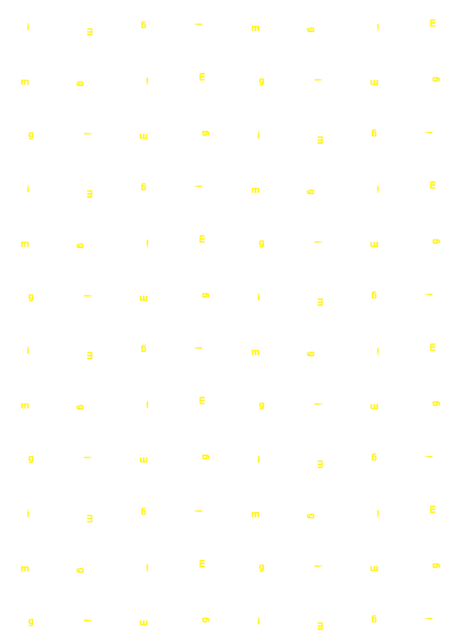| $\mathbf i$      | $\overline{\mathbf{3}}$ | $\boldsymbol{6}$                                                                                                                                                                                                                                                                                                                                                                                               |                                                                                                                       | ${\bf m}$               | $\bullet$                          | $\mathbf{I}$                                                                                                                                                                                                                                                                                                                                                                                                   | $\pmb{\varepsilon}$ |
|------------------|-------------------------|----------------------------------------------------------------------------------------------------------------------------------------------------------------------------------------------------------------------------------------------------------------------------------------------------------------------------------------------------------------------------------------------------------------|-----------------------------------------------------------------------------------------------------------------------|-------------------------|------------------------------------|----------------------------------------------------------------------------------------------------------------------------------------------------------------------------------------------------------------------------------------------------------------------------------------------------------------------------------------------------------------------------------------------------------------|---------------------|
| ${\bf m}$        | $\bullet$               | $\sim 1$                                                                                                                                                                                                                                                                                                                                                                                                       | $\mathcal{L} = \mathsf{E}$                                                                                            | g                       | $\overline{\phantom{a}}$           | $\mathbf{u}$                                                                                                                                                                                                                                                                                                                                                                                                   | $\bullet$           |
| $\overline{g}$   |                         | $\bar{\mathbf{u}}$                                                                                                                                                                                                                                                                                                                                                                                             | $\bullet$                                                                                                             | İ                       | $\overline{\mathbf{B}}$            | $\boldsymbol{6}$                                                                                                                                                                                                                                                                                                                                                                                               |                     |
| $\mathbf{j}$     | $\exists$               | $\boldsymbol{6}$                                                                                                                                                                                                                                                                                                                                                                                               | $\overline{\phantom{a}}$                                                                                              | m                       | $\bullet$                          | $\begin{array}{c} \rule{0pt}{2ex} \rule{0pt}{2ex} \rule{0pt}{2ex} \rule{0pt}{2ex} \rule{0pt}{2ex} \rule{0pt}{2ex} \rule{0pt}{2ex} \rule{0pt}{2ex} \rule{0pt}{2ex} \rule{0pt}{2ex} \rule{0pt}{2ex} \rule{0pt}{2ex} \rule{0pt}{2ex} \rule{0pt}{2ex} \rule{0pt}{2ex} \rule{0pt}{2ex} \rule{0pt}{2ex} \rule{0pt}{2ex} \rule{0pt}{2ex} \rule{0pt}{2ex} \rule{0pt}{2ex} \rule{0pt}{2ex} \rule{0pt}{2ex} \rule{0pt}{$ | Ε                   |
| ${\bf m}$        | $\bullet$               | $\begin{array}{c} \rule{0pt}{2ex} \rule{0pt}{2ex} \rule{0pt}{2ex} \rule{0pt}{2ex} \rule{0pt}{2ex} \rule{0pt}{2ex} \rule{0pt}{2ex} \rule{0pt}{2ex} \rule{0pt}{2ex} \rule{0pt}{2ex} \rule{0pt}{2ex} \rule{0pt}{2ex} \rule{0pt}{2ex} \rule{0pt}{2ex} \rule{0pt}{2ex} \rule{0pt}{2ex} \rule{0pt}{2ex} \rule{0pt}{2ex} \rule{0pt}{2ex} \rule{0pt}{2ex} \rule{0pt}{2ex} \rule{0pt}{2ex} \rule{0pt}{2ex} \rule{0pt}{$ | $\epsilon$                                                                                                            | $\overline{\mathbf{g}}$ |                                    | $\mathbf{u}$                                                                                                                                                                                                                                                                                                                                                                                                   | $\bullet$           |
| g                |                         | $\overline{\mathbf{u}}$                                                                                                                                                                                                                                                                                                                                                                                        | $\bullet$                                                                                                             | Î                       | $\overline{\mathbf{3}}$            | $\boldsymbol{6}$                                                                                                                                                                                                                                                                                                                                                                                               |                     |
| $\mathbf{i}$     | $\overline{\mathbf{B}}$ | $\boldsymbol{6}$                                                                                                                                                                                                                                                                                                                                                                                               |                                                                                                                       | m                       | $\bullet$                          | $\mathbf{I}$                                                                                                                                                                                                                                                                                                                                                                                                   | Ε                   |
| $\mathsf{m}$     | $\bullet$               | $\begin{array}{c} \rule{0pt}{2.5ex} \rule{0pt}{2.5ex} \rule{0pt}{2.5ex} \rule{0pt}{2.5ex} \rule{0pt}{2.5ex} \rule{0pt}{2.5ex} \rule{0pt}{2.5ex} \rule{0pt}{2.5ex} \rule{0pt}{2.5ex} \rule{0pt}{2.5ex} \rule{0pt}{2.5ex} \rule{0pt}{2.5ex} \rule{0pt}{2.5ex} \rule{0pt}{2.5ex} \rule{0pt}{2.5ex} \rule{0pt}{2.5ex} \rule{0pt}{2.5ex} \rule{0pt}{2.5ex} \rule{0pt}{2.5ex} \rule{0$                               | $\mathbf{E} = \mathbf{E} \mathbf{E}$                                                                                  | $\overline{\mathbf{g}}$ | $\overline{\phantom{0}}$           | $\overline{\mathbf{u}}$                                                                                                                                                                                                                                                                                                                                                                                        | $\bullet$           |
| $\overline{g}$   |                         | $\mathbf{u}$                                                                                                                                                                                                                                                                                                                                                                                                   | <u>and the state of the state of the state of the state of the state of the state of the state of the state of th</u> | $\mathbf i$             | $\mathbb{R}^2 \times \mathbb{R}^2$ | $\boldsymbol{6}$                                                                                                                                                                                                                                                                                                                                                                                               |                     |
| $\mathbb{I}$     | $\Box$                  | $\boldsymbol{6}$                                                                                                                                                                                                                                                                                                                                                                                               | $\bullet$                                                                                                             | ${\bf m}$               | $\bullet$                          | $\frac{1}{2}$                                                                                                                                                                                                                                                                                                                                                                                                  | Ε                   |
| ${\bf m}$        | $\blacksquare$          | $\begin{array}{c} \rule{0pt}{2.5ex} \rule{0pt}{2.5ex} \rule{0pt}{2.5ex} \rule{0pt}{2.5ex} \rule{0pt}{2.5ex} \rule{0pt}{2.5ex} \rule{0pt}{2.5ex} \rule{0pt}{2.5ex} \rule{0pt}{2.5ex} \rule{0pt}{2.5ex} \rule{0pt}{2.5ex} \rule{0pt}{2.5ex} \rule{0pt}{2.5ex} \rule{0pt}{2.5ex} \rule{0pt}{2.5ex} \rule{0pt}{2.5ex} \rule{0pt}{2.5ex} \rule{0pt}{2.5ex} \rule{0pt}{2.5ex} \rule{0$                               | $\epsilon$                                                                                                            | $\overline{g}$          |                                    | $\mathbf{u}$                                                                                                                                                                                                                                                                                                                                                                                                   | $\Box$              |
| $\boldsymbol{g}$ |                         | $\bar{\mathbf{u}}$                                                                                                                                                                                                                                                                                                                                                                                             | $\bullet$                                                                                                             | Î                       | $\Rightarrow$                      | $\boldsymbol{6}$                                                                                                                                                                                                                                                                                                                                                                                               |                     |

 $\mathbf{B}^{\text{max}}$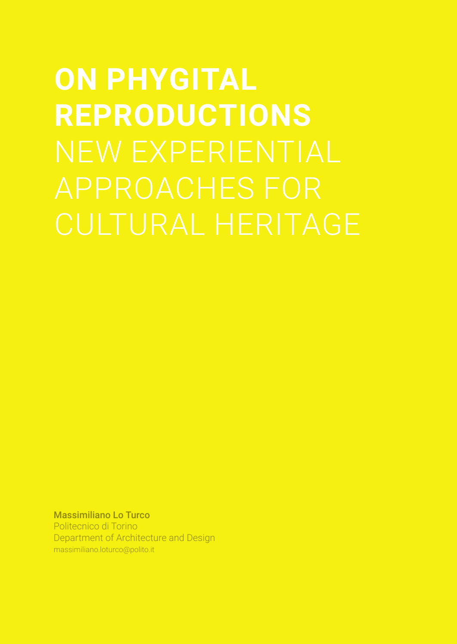# **ON PHYGITAL REPRODUCTIONS**

Massimiliano Lo Turco Politecnico di Torino Department of Architecture and Design massimiliano.loturco@polito.it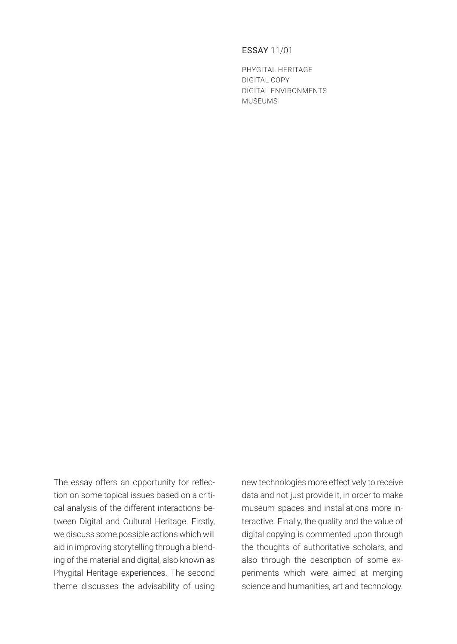### ESSAY 11/01

PHYGITAL HERITAGE DIGITAL COPY DIGITAL ENVIRONMENTS MUSEUMS

The essay offers an opportunity for reflection on some topical issues based on a critical analysis of the different interactions between Digital and Cultural Heritage. Firstly, we discuss some possible actions which will aid in improving storytelling through a blending of the material and digital, also known as Phygital Heritage experiences. The second theme discusses the advisability of using new technologies more effectively to receive data and not just provide it, in order to make museum spaces and installations more interactive. Finally, the quality and the value of digital copying is commented upon through the thoughts of authoritative scholars, and also through the description of some experiments which were aimed at merging science and humanities, art and technology.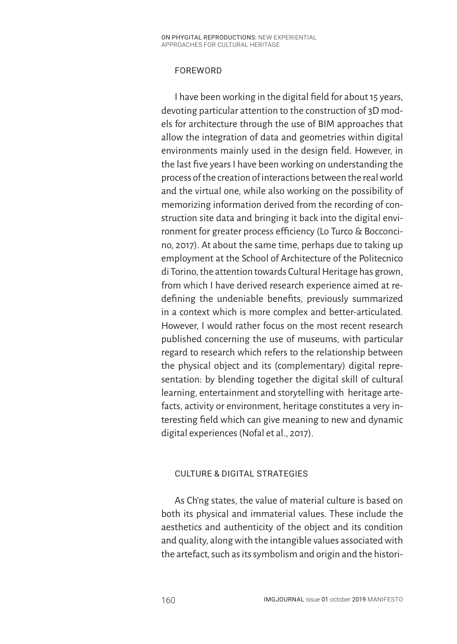# FOREWORD

I have been working in the digital field for about 15 years, devoting particular attention to the construction of 3D models for architecture through the use of BIM approaches that allow the integration of data and geometries within digital environments mainly used in the design field. However, in the last five years I have been working on understanding the process of the creation of interactions between the real world and the virtual one, while also working on the possibility of memorizing information derived from the recording of construction site data and bringing it back into the digital environment for greater process efficiency (Lo Turco & Bocconcino, 2017). At about the same time, perhaps due to taking up employment at the School of Architecture of the Politecnico di Torino, the attention towards Cultural Heritage has grown, from which I have derived research experience aimed at redefining the undeniable benefits, previously summarized in a context which is more complex and better-articulated. However, I would rather focus on the most recent research published concerning the use of museums, with particular regard to research which refers to the relationship between the physical object and its (complementary) digital representation: by blending together the digital skill of cultural learning, entertainment and storytelling with heritage artefacts, activity or environment, heritage constitutes a very interesting field which can give meaning to new and dynamic digital experiences (Nofal et al., 2017).

## CULTURE & DIGITAL STRATEGIES

As Ch'ng states, the value of material culture is based on both its physical and immaterial values. These include the aesthetics and authenticity of the object and its condition and quality, along with the intangible values associated with the artefact, such as its symbolism and origin and the histori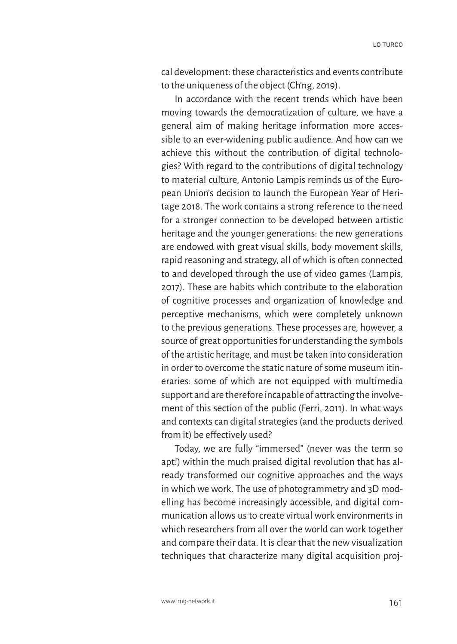cal development: these characteristics and events contribute to the uniqueness of the object (Ch'ng, 2019).

In accordance with the recent trends which have been moving towards the democratization of culture, we have a general aim of making heritage information more accessible to an ever-widening public audience. And how can we achieve this without the contribution of digital technologies? With regard to the contributions of digital technology to material culture, Antonio Lampis reminds us of the European Union's decision to launch the European Year of Heritage 2018. The work contains a strong reference to the need for a stronger connection to be developed between artistic heritage and the younger generations: the new generations are endowed with great visual skills, body movement skills, rapid reasoning and strategy, all of which is often connected to and developed through the use of video games (Lampis, 2017). These are habits which contribute to the elaboration of cognitive processes and organization of knowledge and perceptive mechanisms, which were completely unknown to the previous generations. These processes are, however, a source of great opportunities for understanding the symbols of the artistic heritage, and must be taken into consideration in order to overcome the static nature of some museum itineraries: some of which are not equipped with multimedia support and are therefore incapable of attracting the involvement of this section of the public (Ferri, 2011). In what ways and contexts can digital strategies (and the products derived from it) be effectively used?

Today, we are fully "immersed" (never was the term so apt!) within the much praised digital revolution that has already transformed our cognitive approaches and the ways in which we work. The use of photogrammetry and 3D modelling has become increasingly accessible, and digital communication allows us to create virtual work environments in which researchers from all over the world can work together and compare their data. It is clear that the new visualization techniques that characterize many digital acquisition proj-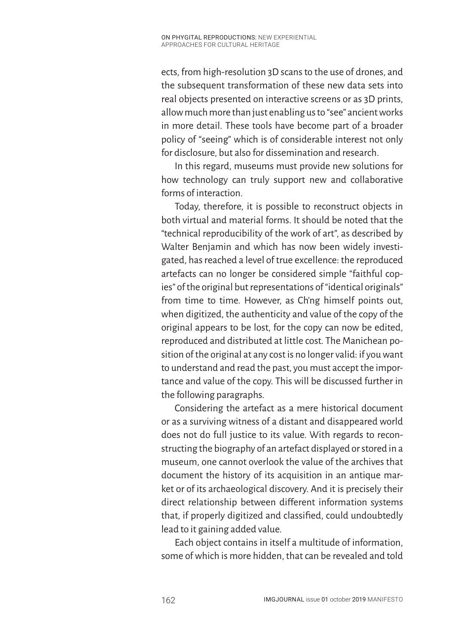ects, from high-resolution 3D scans to the use of drones, and the subsequent transformation of these new data sets into real objects presented on interactive screens or as 3D prints, allow much more than just enabling us to "see" ancient works in more detail. These tools have become part of a broader policy of "seeing" which is of considerable interest not only for disclosure, but also for dissemination and research.

In this regard, museums must provide new solutions for how technology can truly support new and collaborative forms of interaction.

Today, therefore, it is possible to reconstruct objects in both virtual and material forms. It should be noted that the "technical reproducibility of the work of art", as described by Walter Benjamin and which has now been widely investigated, has reached a level of true excellence: the reproduced artefacts can no longer be considered simple "faithful copies" of the original but representations of "identical originals" from time to time. However, as Ch'ng himself points out, when digitized, the authenticity and value of the copy of the original appears to be lost, for the copy can now be edited, reproduced and distributed at little cost. The Manichean position of the original at any cost is no longer valid: if you want to understand and read the past, you must accept the importance and value of the copy. This will be discussed further in the following paragraphs.

Considering the artefact as a mere historical document or as a surviving witness of a distant and disappeared world does not do full justice to its value. With regards to reconstructing the biography of an artefact displayed or stored in a museum, one cannot overlook the value of the archives that document the history of its acquisition in an antique market or of its archaeological discovery. And it is precisely their direct relationship between different information systems that, if properly digitized and classified, could undoubtedly lead to it gaining added value.

Each object contains in itself a multitude of information, some of which is more hidden, that can be revealed and told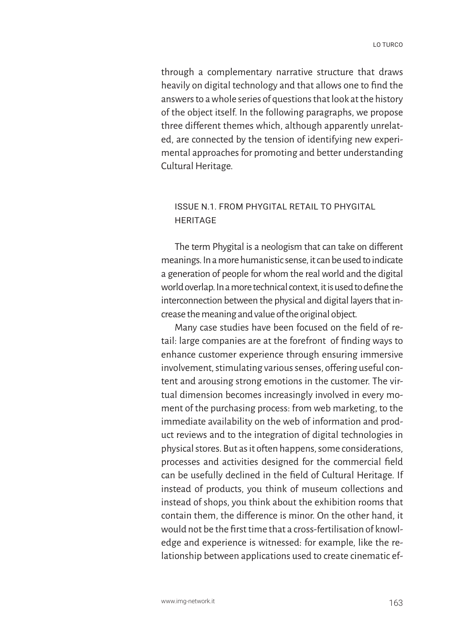through a complementary narrative structure that draws heavily on digital technology and that allows one to find the answers to a whole series of questions that look at the history of the object itself. In the following paragraphs, we propose three different themes which, although apparently unrelated, are connected by the tension of identifying new experimental approaches for promoting and better understanding Cultural Heritage.

# ISSUE N.1. FROM PHYGITAL RETAIL TO PHYGITAL **HERITAGE**

The term Phygital is a neologism that can take on different meanings. In a more humanistic sense, it can be used to indicate a generation of people for whom the real world and the digital world overlap. In a more technical context, it is used to define the interconnection between the physical and digital layers that increase the meaning and value of the original object.

Many case studies have been focused on the field of retail: large companies are at the forefront of finding ways to enhance customer experience through ensuring immersive involvement, stimulating various senses, offering useful content and arousing strong emotions in the customer. The virtual dimension becomes increasingly involved in every moment of the purchasing process: from web marketing, to the immediate availability on the web of information and product reviews and to the integration of digital technologies in physical stores. But as it often happens, some considerations, processes and activities designed for the commercial field can be usefully declined in the field of Cultural Heritage. If instead of products, you think of museum collections and instead of shops, you think about the exhibition rooms that contain them, the difference is minor. On the other hand, it would not be the first time that a cross-fertilisation of knowledge and experience is witnessed: for example, like the relationship between applications used to create cinematic ef-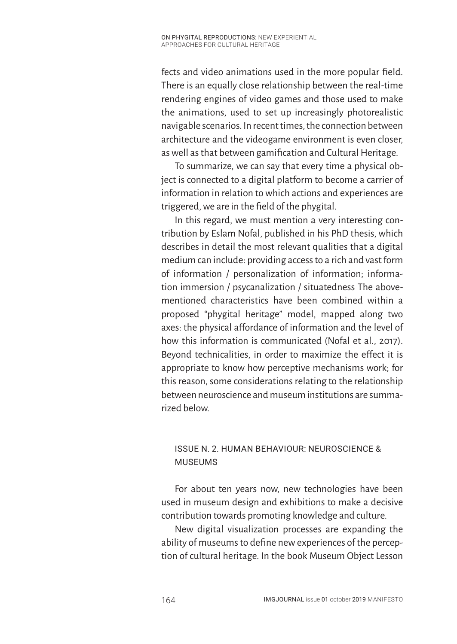fects and video animations used in the more popular field. There is an equally close relationship between the real-time rendering engines of video games and those used to make the animations, used to set up increasingly photorealistic navigable scenarios. In recent times, the connection between architecture and the videogame environment is even closer, as well as that between gamification and Cultural Heritage.

To summarize, we can say that every time a physical object is connected to a digital platform to become a carrier of information in relation to which actions and experiences are triggered, we are in the field of the phygital.

In this regard, we must mention a very interesting contribution by Eslam Nofal, published in his PhD thesis, which describes in detail the most relevant qualities that a digital medium can include: providing access to a rich and vast form of information / personalization of information; information immersion / psycanalization / situatedness The abovementioned characteristics have been combined within a proposed "phygital heritage" model, mapped along two axes: the physical affordance of information and the level of how this information is communicated (Nofal et al., 2017). Beyond technicalities, in order to maximize the effect it is appropriate to know how perceptive mechanisms work; for this reason, some considerations relating to the relationship between neuroscience and museum institutions are summarized below.

# ISSUE N. 2. HUMAN BEHAVIOUR: NEUROSCIENCE & MUSEUMS

For about ten years now, new technologies have been used in museum design and exhibitions to make a decisive contribution towards promoting knowledge and culture.

New digital visualization processes are expanding the ability of museums to define new experiences of the perception of cultural heritage. In the book Museum Object Lesson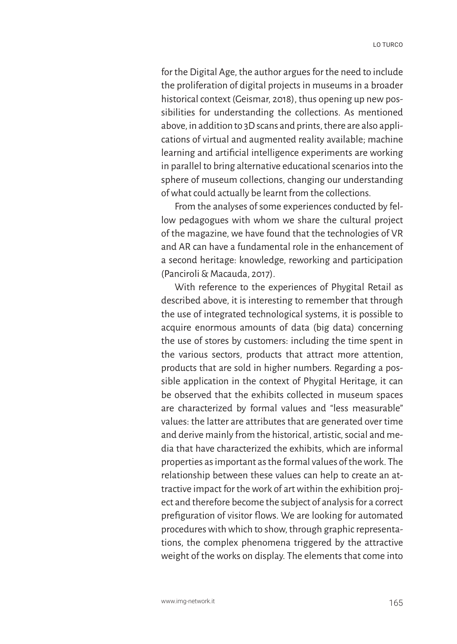for the Digital Age, the author argues for the need to include the proliferation of digital projects in museums in a broader historical context (Geismar, 2018), thus opening up new possibilities for understanding the collections. As mentioned above, in addition to 3D scans and prints, there are also applications of virtual and augmented reality available; machine learning and artificial intelligence experiments are working in parallel to bring alternative educational scenarios into the sphere of museum collections, changing our understanding of what could actually be learnt from the collections.

From the analyses of some experiences conducted by fellow pedagogues with whom we share the cultural project of the magazine, we have found that the technologies of VR and AR can have a fundamental role in the enhancement of a second heritage: knowledge, reworking and participation (Panciroli & Macauda, 2017).

With reference to the experiences of Phygital Retail as described above, it is interesting to remember that through the use of integrated technological systems, it is possible to acquire enormous amounts of data (big data) concerning the use of stores by customers: including the time spent in the various sectors, products that attract more attention, products that are sold in higher numbers. Regarding a possible application in the context of Phygital Heritage, it can be observed that the exhibits collected in museum spaces are characterized by formal values and "less measurable" values: the latter are attributes that are generated over time and derive mainly from the historical, artistic, social and media that have characterized the exhibits, which are informal properties as important as the formal values of the work. The relationship between these values can help to create an attractive impact for the work of art within the exhibition project and therefore become the subject of analysis for a correct prefiguration of visitor flows. We are looking for automated procedures with which to show, through graphic representations, the complex phenomena triggered by the attractive weight of the works on display. The elements that come into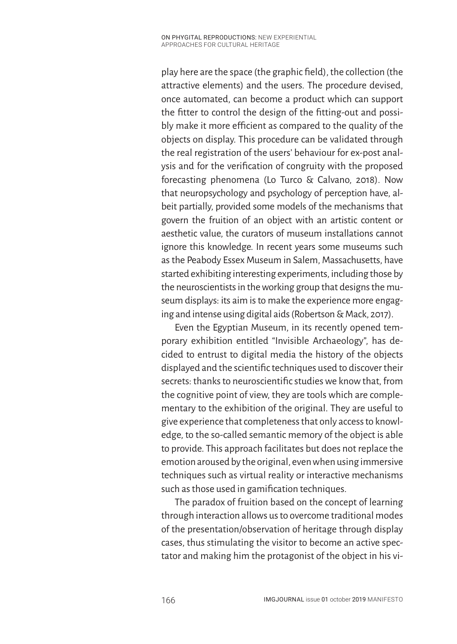#### ON PHYGITAL REPRODUCTIONS: NEW EXPERIENTIAL APPROACHES FOR CULTURAL HERITAGE

play here are the space (the graphic field), the collection (the attractive elements) and the users. The procedure devised, once automated, can become a product which can support the fitter to control the design of the fitting-out and possibly make it more efficient as compared to the quality of the objects on display. This procedure can be validated through the real registration of the users' behaviour for ex-post analysis and for the verification of congruity with the proposed forecasting phenomena (Lo Turco & Calvano, 2018). Now that neuropsychology and psychology of perception have, albeit partially, provided some models of the mechanisms that govern the fruition of an object with an artistic content or aesthetic value, the curators of museum installations cannot ignore this knowledge. In recent years some museums such as the Peabody Essex Museum in Salem, Massachusetts, have started exhibiting interesting experiments, including those by the neuroscientists in the working group that designs the museum displays: its aim is to make the experience more engaging and intense using digital aids (Robertson & Mack, 2017).

Even the Egyptian Museum, in its recently opened temporary exhibition entitled "Invisible Archaeology", has decided to entrust to digital media the history of the objects displayed and the scientific techniques used to discover their secrets: thanks to neuroscientific studies we know that, from the cognitive point of view, they are tools which are complementary to the exhibition of the original. They are useful to give experience that completeness that only access to knowledge, to the so-called semantic memory of the object is able to provide. This approach facilitates but does not replace the emotion aroused by the original, even when using immersive techniques such as virtual reality or interactive mechanisms such as those used in gamification techniques.

The paradox of fruition based on the concept of learning through interaction allows us to overcome traditional modes of the presentation/observation of heritage through display cases, thus stimulating the visitor to become an active spectator and making him the protagonist of the object in his vi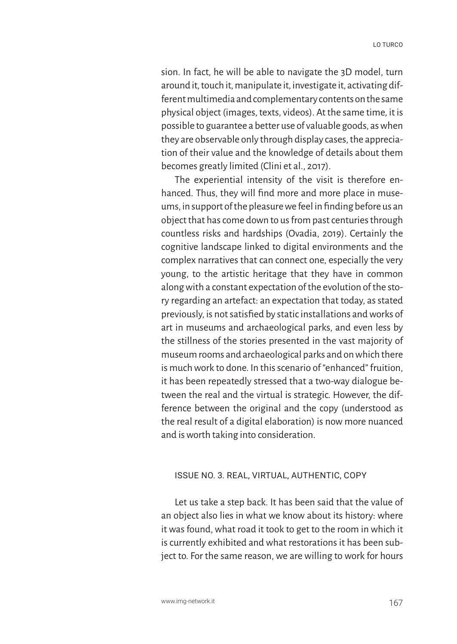sion. In fact, he will be able to navigate the 3D model, turn around it, touch it, manipulate it, investigate it, activating different multimedia and complementary contents on the same physical object (images, texts, videos). At the same time, it is possible to guarantee a better use of valuable goods, as when they are observable only through display cases, the appreciation of their value and the knowledge of details about them becomes greatly limited (Clini et al., 2017).

The experiential intensity of the visit is therefore enhanced. Thus, they will find more and more place in museums, in support of the pleasure we feel in finding before us an object that has come down to us from past centuries through countless risks and hardships (Ovadia, 2019). Certainly the cognitive landscape linked to digital environments and the complex narratives that can connect one, especially the very young, to the artistic heritage that they have in common along with a constant expectation of the evolution of the story regarding an artefact: an expectation that today, as stated previously, is not satisfied by static installations and works of art in museums and archaeological parks, and even less by the stillness of the stories presented in the vast majority of museum rooms and archaeological parks and on which there is much work to done. In this scenario of "enhanced" fruition, it has been repeatedly stressed that a two-way dialogue between the real and the virtual is strategic. However, the difference between the original and the copy (understood as the real result of a digital elaboration) is now more nuanced and is worth taking into consideration.

#### ISSUE NO. 3. REAL, VIRTUAL, AUTHENTIC, COPY

Let us take a step back. It has been said that the value of an object also lies in what we know about its history: where it was found, what road it took to get to the room in which it is currently exhibited and what restorations it has been subject to. For the same reason, we are willing to work for hours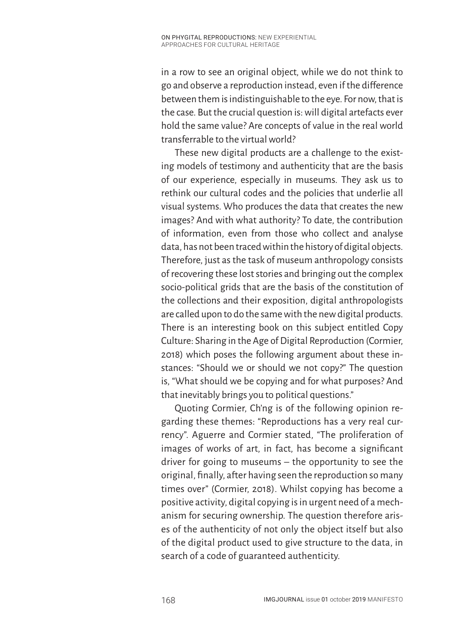in a row to see an original object, while we do not think to go and observe a reproduction instead, even if the difference between them is indistinguishable to the eye. For now, that is the case. But the crucial question is: will digital artefacts ever hold the same value? Are concepts of value in the real world transferrable to the virtual world?

These new digital products are a challenge to the existing models of testimony and authenticity that are the basis of our experience, especially in museums. They ask us to rethink our cultural codes and the policies that underlie all visual systems. Who produces the data that creates the new images? And with what authority? To date, the contribution of information, even from those who collect and analyse data, has not been traced within the history of digital objects. Therefore, just as the task of museum anthropology consists of recovering these lost stories and bringing out the complex socio-political grids that are the basis of the constitution of the collections and their exposition, digital anthropologists are called upon to do the same with the new digital products. There is an interesting book on this subject entitled Copy Culture: Sharing in the Age of Digital Reproduction (Cormier, 2018) which poses the following argument about these instances: "Should we or should we not copy?" The question is, "What should we be copying and for what purposes? And that inevitably brings you to political questions."

Quoting Cormier, Ch'ng is of the following opinion regarding these themes: "Reproductions has a very real currency". Aguerre and Cormier stated, "The proliferation of images of works of art, in fact, has become a significant driver for going to museums – the opportunity to see the original, finally, after having seen the reproduction so many times over" (Cormier, 2018). Whilst copying has become a positive activity, digital copying is in urgent need of a mechanism for securing ownership. The question therefore arises of the authenticity of not only the object itself but also of the digital product used to give structure to the data, in search of a code of guaranteed authenticity.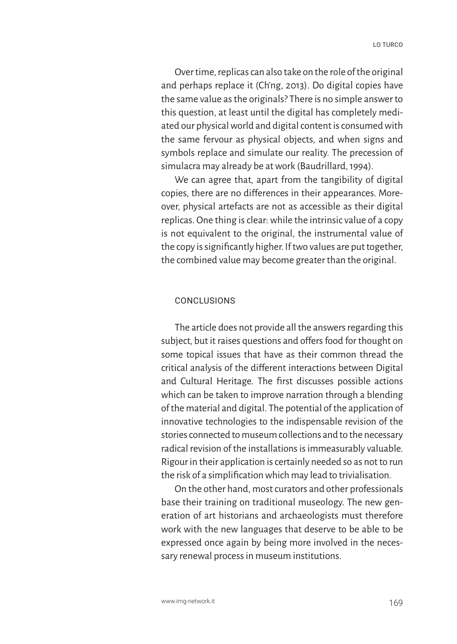Over time, replicas can also take on the role of the original and perhaps replace it (Ch'ng, 2013). Do digital copies have the same value as the originals? There is no simple answer to this question, at least until the digital has completely mediated our physical world and digital content is consumed with the same fervour as physical objects, and when signs and symbols replace and simulate our reality. The precession of simulacra may already be at work (Baudrillard, 1994).

We can agree that, apart from the tangibility of digital copies, there are no differences in their appearances. Moreover, physical artefacts are not as accessible as their digital replicas. One thing is clear: while the intrinsic value of a copy is not equivalent to the original, the instrumental value of the copy is significantly higher. If two values are put together, the combined value may become greater than the original.

#### CONCLUSIONS

The article does not provide all the answers regarding this subject, but it raises questions and offers food for thought on some topical issues that have as their common thread the critical analysis of the different interactions between Digital and Cultural Heritage. The first discusses possible actions which can be taken to improve narration through a blending of the material and digital. The potential of the application of innovative technologies to the indispensable revision of the stories connected to museum collections and to the necessary radical revision of the installations is immeasurably valuable. Rigour in their application is certainly needed so as not to run the risk of a simplification which may lead to trivialisation.

On the other hand, most curators and other professionals base their training on traditional museology. The new generation of art historians and archaeologists must therefore work with the new languages that deserve to be able to be expressed once again by being more involved in the necessary renewal process in museum institutions.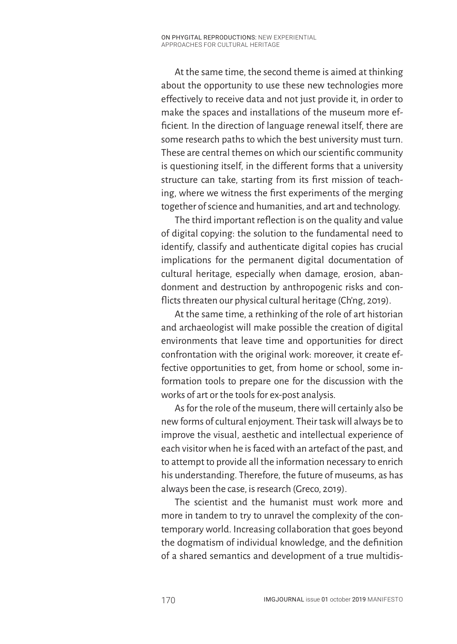At the same time, the second theme is aimed at thinking about the opportunity to use these new technologies more effectively to receive data and not just provide it, in order to make the spaces and installations of the museum more efficient. In the direction of language renewal itself, there are some research paths to which the best university must turn. These are central themes on which our scientific community is questioning itself, in the different forms that a university structure can take, starting from its first mission of teaching, where we witness the first experiments of the merging together of science and humanities, and art and technology.

The third important reflection is on the quality and value of digital copying: the solution to the fundamental need to identify, classify and authenticate digital copies has crucial implications for the permanent digital documentation of cultural heritage, especially when damage, erosion, abandonment and destruction by anthropogenic risks and conflicts threaten our physical cultural heritage (Ch'ng, 2019).

At the same time, a rethinking of the role of art historian and archaeologist will make possible the creation of digital environments that leave time and opportunities for direct confrontation with the original work: moreover, it create effective opportunities to get, from home or school, some information tools to prepare one for the discussion with the works of art or the tools for ex-post analysis.

As for the role of the museum, there will certainly also be new forms of cultural enjoyment. Their task will always be to improve the visual, aesthetic and intellectual experience of each visitor when he is faced with an artefact of the past, and to attempt to provide all the information necessary to enrich his understanding. Therefore, the future of museums, as has always been the case, is research (Greco, 2019).

The scientist and the humanist must work more and more in tandem to try to unravel the complexity of the contemporary world. Increasing collaboration that goes beyond the dogmatism of individual knowledge, and the definition of a shared semantics and development of a true multidis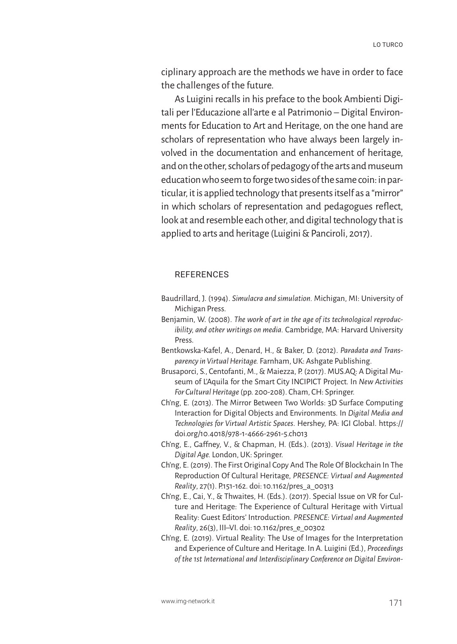ciplinary approach are the methods we have in order to face the challenges of the future.

As Luigini recalls in his preface to the book Ambienti Digitali per l'Educazione all'arte e al Patrimonio – Digital Environments for Education to Art and Heritage, on the one hand are scholars of representation who have always been largely involved in the documentation and enhancement of heritage, and on the other, scholars of pedagogy of the arts and museum education who seem to forge two sides of the same coin: in particular, it is applied technology that presents itself as a "mirror" in which scholars of representation and pedagogues reflect, look at and resemble each other, and digital technology that is applied to arts and heritage (Luigini & Panciroli, 2017).

#### REFERENCES

- Baudrillard, J. (1994). *Simulacra and simulation.* Michigan, MI: University of Michigan Press.
- Benjamin, W. (2008). *The work of art in the age of its technological reproducibility, and other writings on media.* Cambridge, MA: Harvard University Press.
- Bentkowska-Kafel, A., Denard, H., & Baker, D. (2012). *Paradata and Transparency in Virtual Heritage.* Farnham, UK: Ashgate Publishing.
- Brusaporci, S., Centofanti, M., & Maiezza, P. (2017). MUS.AQ: A Digital Museum of L'Aquila for the Smart City INCIPICT Project. In *New Activities For Cultural Heritage* (pp. 200-208). Cham, CH: Springer.
- Ch'ng, E. (2013). The Mirror Between Two Worlds: 3D Surface Computing Interaction for Digital Objects and Environments. In *Digital Media and Technologies for Virtual Artistic Spaces*. Hershey, PA: IGI Global. https:// doi.org/10.4018/978-1-4666-2961-5.ch013
- Ch'ng, E., Gaffney, V., & Chapman, H. (Eds.). (2013). *Visual Heritage in the Digital Age.* London, UK: Springer.
- Ch'ng, E. (2019). The First Original Copy And The Role Of Blockchain In The Reproduction Of Cultural Heritage, *PRESENCE: Virtual and Augmented Reality*, 27(1). P.151-162. doi: 10.1162/pres\_a\_00313
- Ch'ng, E., Cai, Y., & Thwaites, H. (Eds.). (2017). Special Issue on VR for Culture and Heritage: The Experience of Cultural Heritage with Virtual Reality: Guest Editors' Introduction. *PRESENCE: Virtual and Augmented Reality*, 26(3), III–VI. doi: 10.1162/pres\_e\_00302
- Ch'ng, E. (2019). Virtual Reality: The Use of Images for the Interpretation and Experience of Culture and Heritage. In A. Luigini (Ed.), *Proceedings of the 1st International and Interdisciplinary Conference on Digital Environ-*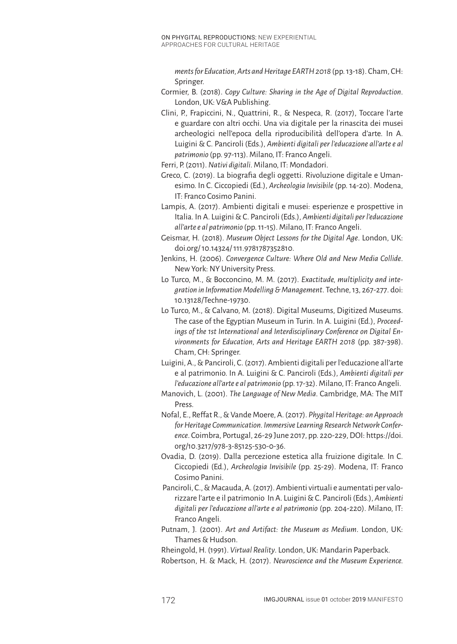*ments for Education, Arts and Heritage EARTH 2018* (pp. 13-18). Cham, CH: Springer.

- Cormier, B. (2018). *Copy Culture: Sharing in the Age of Digital Reproduction*. London, UK: V&A Publishing.
- Clini, P., Frapiccini, N., Quattrini, R., & Nespeca, R. (2017), Toccare l'arte e guardare con altri occhi. Una via digitale per la rinascita dei musei archeologici nell'epoca della riproducibilità dell'opera d'arte. In A. Luigini & C. Panciroli (Eds.), *Ambienti digitali per l'educazione all'arte e al patrimonio* (pp. 97-113). Milano, IT: Franco Angeli.

Ferri, P. (2011). *Nativi digitali*. Milano, IT: Mondadori.

- Greco, C. (2019). La biografia degli oggetti. Rivoluzione digitale e Umanesimo. In C. Ciccopiedi (Ed.), *Archeologia Invisibile* (pp. 14-20). Modena, IT: Franco Cosimo Panini.
- Lampis, A. (2017). Ambienti digitali e musei: esperienze e prospettive in Italia. In A. Luigini & C. Panciroli (Eds.), *Ambienti digitali per l'educazione all'arte e al patrimonio* (pp. 11-15). Milano, IT: Franco Angeli.
- Geismar, H. (2018). *Museum Object Lessons for the Digital Age*. London, UK: doi.org/ 10.14324/ 111.9781787352810.
- Jenkins, H. (2006). *Convergence Culture: Where Old and New Media Collide*. New York: NY University Press.
- Lo Turco, M., & Bocconcino, M. M. (2017). *Exactitude, multiplicity and integration in Information Modelling & Management*. Techne, 13, 267-277. doi: 10.13128/Techne-19730.
- Lo Turco, M., & Calvano, M. (2018). Digital Museums, Digitized Museums. The case of the Egyptian Museum in Turin. In A. Luigini (Ed.), *Proceedings of the 1st International and Interdisciplinary Conference on Digital Environments for Education, Arts and Heritage EARTH 2018* (pp. 387-398). Cham, CH: Springer.
- Luigini, A., & Panciroli, C. (2017). Ambienti digitali per l'educazione all'arte e al patrimonio. In A. Luigini & C. Panciroli (Eds.), *Ambienti digitali per l'educazione all'arte e al patrimonio* (pp. 17-32). Milano, IT: Franco Angeli.
- Manovich, L. (2001). *The Language of New Media*. Cambridge, MA: The MIT Press.
- Nofal, E., Reffat R., & Vande Moere, A. (2017). *Phygital Heritage: an Approach for Heritage Communication. Immersive Learning Research Network Conference*. Coimbra, Portugal, 26-29 June 2017, pp. 220-229, DOI: https://doi. org/10.3217/978-3-85125-530-0-36.
- Ovadia, D. (2019). Dalla percezione estetica alla fruizione digitale. In C. Ciccopiedi (Ed.), *Archeologia Invisibile* (pp. 25-29). Modena, IT: Franco Cosimo Panini.
- Panciroli, C., & Macauda, A. (2017). Ambienti virtuali e aumentati per valorizzare l'arte e il patrimonio In A. Luigini & C. Panciroli (Eds.), *Ambienti digitali per l'educazione all'arte e al patrimonio* (pp. 204-220). Milano, IT: Franco Angeli.
- Putnam, J. (2001). *Art and Artifact: the Museum as Medium*. London, UK: Thames & Hudson.
- Rheingold, H. (1991). *Virtual Reality*. London, UK: Mandarin Paperback.
- Robertson, H. & Mack, H. (2017). *Neuroscience and the Museum Experience.*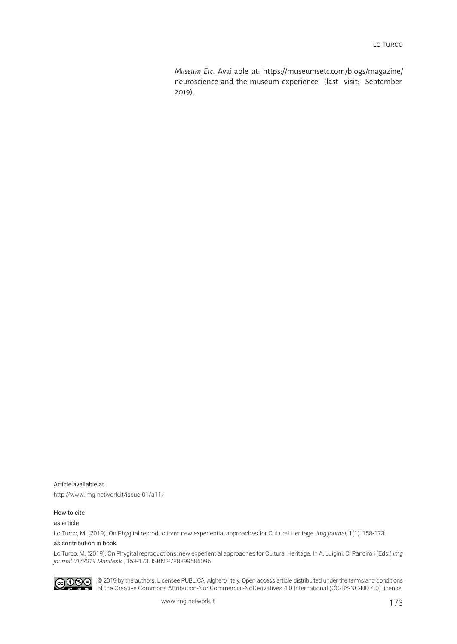*Museum Etc*. Available at: https://museumsetc.com/blogs/magazine/ neuroscience-and-the-museum-experience (last visit: September, 2019).

#### Article available at

http://www.img-network.it/issue-01/a11/

#### How to cite

#### as article

Lo Turco, M. (2019). On Phygital reproductions: new experiential approaches for Cultural Heritage. *img journal*, 1(1), 158-173.

#### as contribution in book

Lo Turco, M. (2019). On Phygital reproductions: new experiential approaches for Cultural Heritage. In A. Luigini, C. Panciroli (Eds.) *img journal 01/2019 Manifesto*, 158-173. ISBN 9788899586096



© 2019 by the authors. Licensee PUBLICA, Alghero, Italy. Open access article distribuited under the terms and conditions<br>of the Creative Commons Attribution-NonCommercial-NoDerivatives 4.0 International (CC-BY-NC-ND 4.0) l